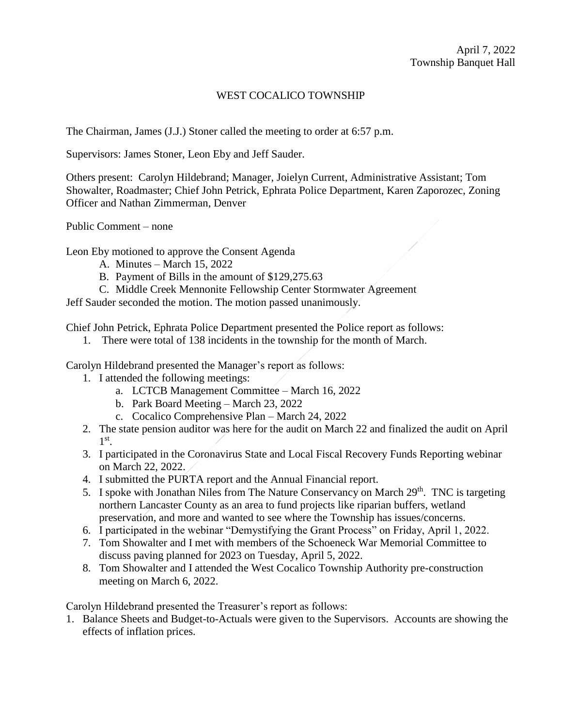## WEST COCALICO TOWNSHIP

The Chairman, James (J.J.) Stoner called the meeting to order at 6:57 p.m.

Supervisors: James Stoner, Leon Eby and Jeff Sauder.

Others present: Carolyn Hildebrand; Manager, Joielyn Current, Administrative Assistant; Tom Showalter, Roadmaster; Chief John Petrick, Ephrata Police Department, Karen Zaporozec, Zoning Officer and Nathan Zimmerman, Denver

Public Comment – none

Leon Eby motioned to approve the Consent Agenda

- A. Minutes March 15, 2022
- B. Payment of Bills in the amount of \$129,275.63
- C. Middle Creek Mennonite Fellowship Center Stormwater Agreement

Jeff Sauder seconded the motion. The motion passed unanimously.

Chief John Petrick, Ephrata Police Department presented the Police report as follows:

1. There were total of 138 incidents in the township for the month of March.

Carolyn Hildebrand presented the Manager's report as follows:

- 1. I attended the following meetings:
	- a. LCTCB Management Committee March 16, 2022
	- b. Park Board Meeting March 23, 2022
	- c. Cocalico Comprehensive Plan March 24, 2022
- 2. The state pension auditor was here for the audit on March 22 and finalized the audit on April 1 st .
- 3. I participated in the Coronavirus State and Local Fiscal Recovery Funds Reporting webinar on March 22, 2022.
- 4. I submitted the PURTA report and the Annual Financial report.
- 5. I spoke with Jonathan Niles from The Nature Conservancy on March 29<sup>th</sup>. TNC is targeting northern Lancaster County as an area to fund projects like riparian buffers, wetland preservation, and more and wanted to see where the Township has issues/concerns.
- 6. I participated in the webinar "Demystifying the Grant Process" on Friday, April 1, 2022.
- 7. Tom Showalter and I met with members of the Schoeneck War Memorial Committee to discuss paving planned for 2023 on Tuesday, April 5, 2022.
- 8. Tom Showalter and I attended the West Cocalico Township Authority pre-construction meeting on March 6, 2022.

Carolyn Hildebrand presented the Treasurer's report as follows:

1. Balance Sheets and Budget-to-Actuals were given to the Supervisors. Accounts are showing the effects of inflation prices.